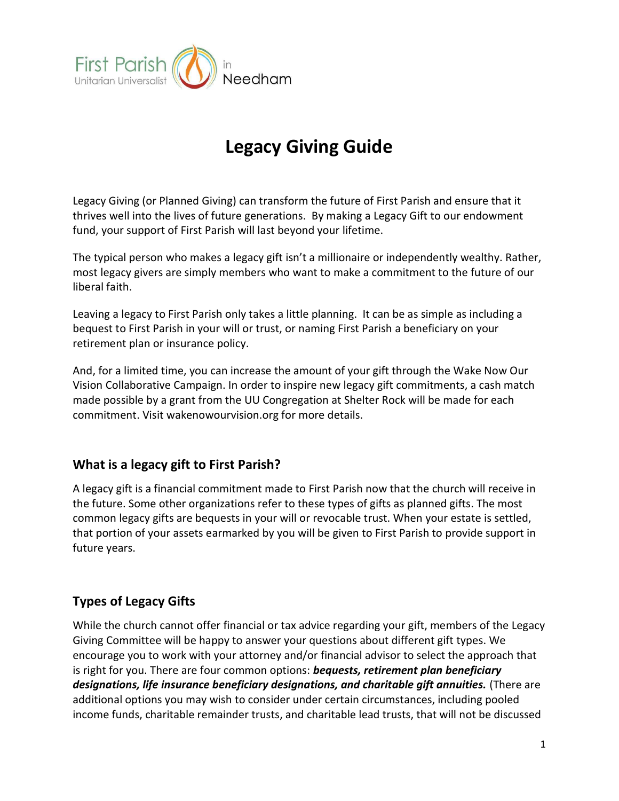

# Legacy Giving Guide

Legacy Giving (or Planned Giving) can transform the future of First Parish and ensure that it thrives well into the lives of future generations. By making a Legacy Gift to our endowment fund, your support of First Parish will last beyond your lifetime.

The typical person who makes a legacy gift isn't a millionaire or independently wealthy. Rather, most legacy givers are simply members who want to make a commitment to the future of our liberal faith.

Leaving a legacy to First Parish only takes a little planning. It can be as simple as including a bequest to First Parish in your will or trust, or naming First Parish a beneficiary on your retirement plan or insurance policy.

And, for a limited time, you can increase the amount of your gift through the Wake Now Our Vision Collaborative Campaign. In order to inspire new legacy gift commitments, a cash match made possible by a grant from the UU Congregation at Shelter Rock will be made for each commitment. Visit wakenowourvision.org for more details.

## What is a legacy gift to First Parish?

A legacy gift is a financial commitment made to First Parish now that the church will receive in the future. Some other organizations refer to these types of gifts as planned gifts. The most common legacy gifts are bequests in your will or revocable trust. When your estate is settled, that portion of your assets earmarked by you will be given to First Parish to provide support in future years.

# Types of Legacy Gifts

While the church cannot offer financial or tax advice regarding your gift, members of the Legacy Giving Committee will be happy to answer your questions about different gift types. We encourage you to work with your attorney and/or financial advisor to select the approach that is right for you. There are four common options: **bequests, retirement plan beneficiary** designations, life insurance beneficiary designations, and charitable gift annuities. (There are additional options you may wish to consider under certain circumstances, including pooled income funds, charitable remainder trusts, and charitable lead trusts, that will not be discussed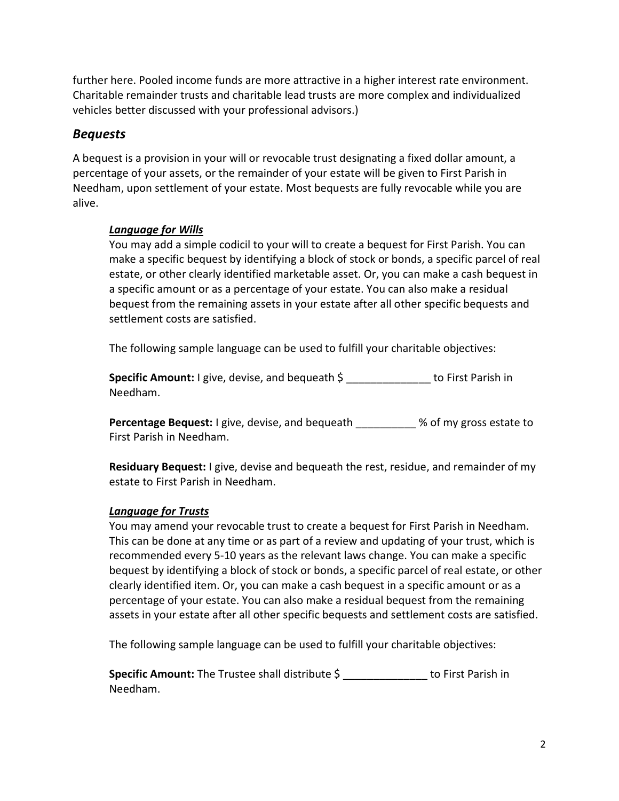further here. Pooled income funds are more attractive in a higher interest rate environment. Charitable remainder trusts and charitable lead trusts are more complex and individualized vehicles better discussed with your professional advisors.)

## Bequests

A bequest is a provision in your will or revocable trust designating a fixed dollar amount, a percentage of your assets, or the remainder of your estate will be given to First Parish in Needham, upon settlement of your estate. Most bequests are fully revocable while you are alive.

#### Language for Wills

You may add a simple codicil to your will to create a bequest for First Parish. You can make a specific bequest by identifying a block of stock or bonds, a specific parcel of real estate, or other clearly identified marketable asset. Or, you can make a cash bequest in a specific amount or as a percentage of your estate. You can also make a residual bequest from the remaining assets in your estate after all other specific bequests and settlement costs are satisfied.

The following sample language can be used to fulfill your charitable objectives:

Specific Amount: I give, devise, and bequeath \$ 10 to First Parish in Needham.

Percentage Bequest: I give, devise, and bequeath  $\sim$  % of my gross estate to First Parish in Needham.

Residuary Bequest: I give, devise and bequeath the rest, residue, and remainder of my estate to First Parish in Needham.

## Language for Trusts

You may amend your revocable trust to create a bequest for First Parish in Needham. This can be done at any time or as part of a review and updating of your trust, which is recommended every 5-10 years as the relevant laws change. You can make a specific bequest by identifying a block of stock or bonds, a specific parcel of real estate, or other clearly identified item. Or, you can make a cash bequest in a specific amount or as a percentage of your estate. You can also make a residual bequest from the remaining assets in your estate after all other specific bequests and settlement costs are satisfied.

The following sample language can be used to fulfill your charitable objectives:

Specific Amount: The Trustee shall distribute  $\zeta$  to First Parish in Needham.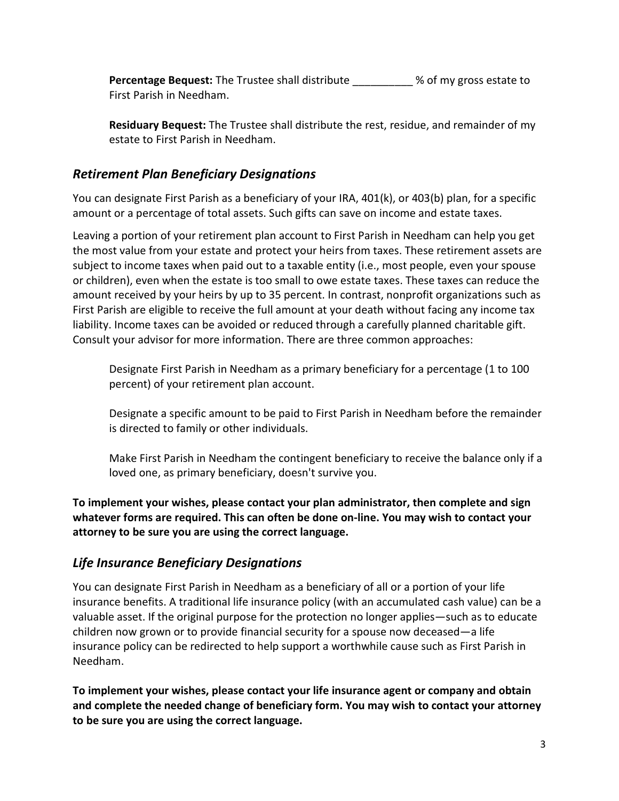Percentage Bequest: The Trustee shall distribute **the Seap of My gross estate to** First Parish in Needham.

Residuary Bequest: The Trustee shall distribute the rest, residue, and remainder of my estate to First Parish in Needham.

# Retirement Plan Beneficiary Designations

You can designate First Parish as a beneficiary of your IRA, 401(k), or 403(b) plan, for a specific amount or a percentage of total assets. Such gifts can save on income and estate taxes.

Leaving a portion of your retirement plan account to First Parish in Needham can help you get the most value from your estate and protect your heirs from taxes. These retirement assets are subject to income taxes when paid out to a taxable entity (i.e., most people, even your spouse or children), even when the estate is too small to owe estate taxes. These taxes can reduce the amount received by your heirs by up to 35 percent. In contrast, nonprofit organizations such as First Parish are eligible to receive the full amount at your death without facing any income tax liability. Income taxes can be avoided or reduced through a carefully planned charitable gift. Consult your advisor for more information. There are three common approaches:

Designate First Parish in Needham as a primary beneficiary for a percentage (1 to 100 percent) of your retirement plan account.

Designate a specific amount to be paid to First Parish in Needham before the remainder is directed to family or other individuals.

Make First Parish in Needham the contingent beneficiary to receive the balance only if a loved one, as primary beneficiary, doesn't survive you.

To implement your wishes, please contact your plan administrator, then complete and sign whatever forms are required. This can often be done on-line. You may wish to contact your attorney to be sure you are using the correct language.

# Life Insurance Beneficiary Designations

You can designate First Parish in Needham as a beneficiary of all or a portion of your life insurance benefits. A traditional life insurance policy (with an accumulated cash value) can be a valuable asset. If the original purpose for the protection no longer applies—such as to educate children now grown or to provide financial security for a spouse now deceased—a life insurance policy can be redirected to help support a worthwhile cause such as First Parish in Needham.

To implement your wishes, please contact your life insurance agent or company and obtain and complete the needed change of beneficiary form. You may wish to contact your attorney to be sure you are using the correct language.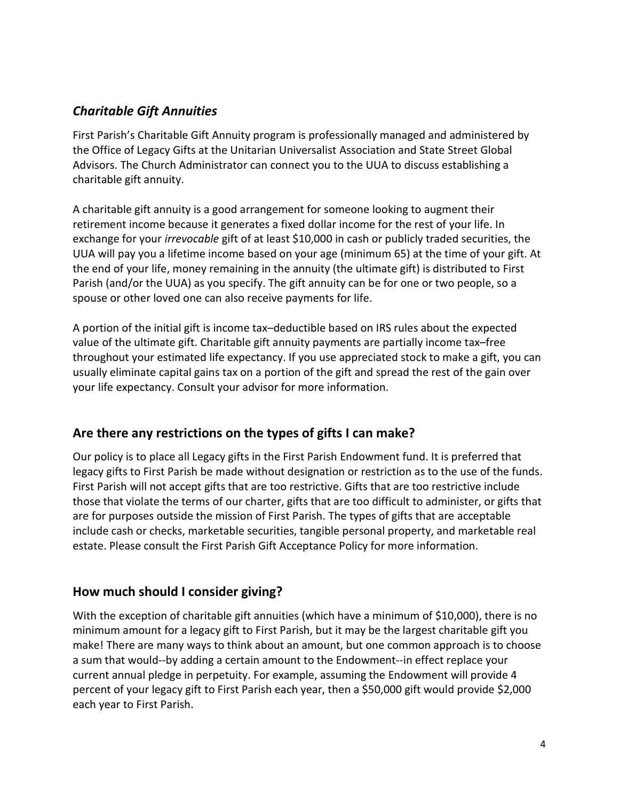# Charitable Gift Annuities

First Parish's Charitable Gift Annuity program is professionally managed and administered by the Office of Legacy Gifts at the Unitarian Universalist Association and State Street Global Advisors. The Church Administrator can connect you to the UUA to discuss establishing a charitable gift annuity.

A charitable gift annuity is a good arrangement for someone looking to augment their retirement income because it generates a fixed dollar income for the rest of your life. In exchange for your *irrevocable* gift of at least \$10,000 in cash or publicly traded securities, the UUA will pay you a lifetime income based on your age (minimum 65) at the time of your gift. At the end of your life, money remaining in the annuity (the ultimate gift) is distributed to First Parish (and/or the UUA) as you specify. The gift annuity can be for one or two people, so a spouse or other loved one can also receive payments for life.

A portion of the initial gift is income tax–deductible based on IRS rules about the expected value of the ultimate gift. Charitable gift annuity payments are partially income tax–free throughout your estimated life expectancy. If you use appreciated stock to make a gift, you can usually eliminate capital gains tax on a portion of the gift and spread the rest of the gain over your life expectancy. Consult your advisor for more information.

# Are there any restrictions on the types of gifts I can make?

Our policy is to place all Legacy gifts in the First Parish Endowment fund. It is preferred that legacy gifts to First Parish be made without designation or restriction as to the use of the funds. First Parish will not accept gifts that are too restrictive. Gifts that are too restrictive include those that violate the terms of our charter, gifts that are too difficult to administer, or gifts that are for purposes outside the mission of First Parish. The types of gifts that are acceptable include cash or checks, marketable securities, tangible personal property, and marketable real estate. Please consult the First Parish Gift Acceptance Policy for more information.

# How much should I consider giving?

With the exception of charitable gift annuities (which have a minimum of \$10,000), there is no minimum amount for a legacy gift to First Parish, but it may be the largest charitable gift you make! There are many ways to think about an amount, but one common approach is to choose a sum that would--by adding a certain amount to the Endowment--in effect replace your current annual pledge in perpetuity. For example, assuming the Endowment will provide 4 percent of your legacy gift to First Parish each year, then a \$50,000 gift would provide \$2,000 each year to First Parish.